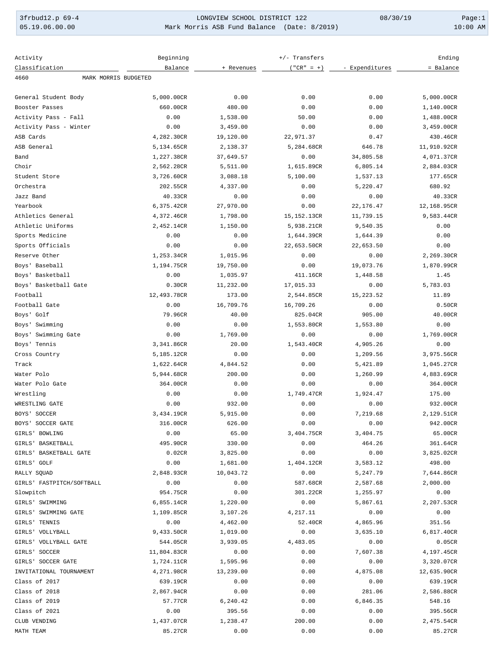3frbud12.p 69-4 LONGVIEW SCHOOL DISTRICT 122 08/30/19 Page:1 Mark Morris ASB Fund Balance (Date: 8/2019)

| Activity                     | Beginning   |            | +/- Transfers |                | Ending      |
|------------------------------|-------------|------------|---------------|----------------|-------------|
| Classification               | Balance     | + Revenues | $("CR" = +)$  | - Expenditures | = Balance   |
| MARK MORRIS BUDGETED<br>4660 |             |            |               |                |             |
|                              |             |            |               |                |             |
| General Student Body         | 5,000.00CR  | 0.00       | 0.00          | 0.00           | 5,000.00CR  |
| Booster Passes               | 660.00CR    | 480.00     | 0.00          | 0.00           | 1,140.00CR  |
| Activity Pass - Fall         | 0.00        | 1,538.00   | 50.00         | 0.00           | 1,488.00CR  |
| Activity Pass - Winter       | 0.00        | 3,459.00   | 0.00          | 0.00           | 3,459.00CR  |
| ASB Cards                    | 4,282.30CR  | 19,120.00  | 22,971.37     | 0.47           | 430.46CR    |
| ASB General                  | 5,134.65CR  | 2,138.37   | 5,284.68CR    | 646.78         | 11,910.92CR |
| Band                         | 1,227.38CR  | 37,649.57  | 0.00          | 34,805.58      | 4,071.37CR  |
| Choir                        | 2,562.28CR  | 5,511.00   | 1,615.89CR    | 6,805.14       | 2,884.03CR  |
| Student Store                | 3,726.60CR  | 3,088.18   | 5,100.00      | 1,537.13       | 177.65CR    |
| Orchestra                    | 202.55CR    | 4,337.00   | 0.00          | 5,220.47       | 680.92      |
| Jazz Band                    | 40.33CR     | 0.00       | 0.00          | 0.00           | 40.33CR     |
| Yearbook                     | 6,375.42CR  | 27,970.00  | 0.00          | 22, 176.47     | 12,168.95CR |
| Athletics General            | 4,372.46CR  | 1,798.00   | 15,152.13CR   | 11,739.15      | 9,583.44CR  |
| Athletic Uniforms            | 2,452.14CR  | 1,150.00   | 5,938.21CR    | 9,540.35       | 0.00        |
| Sports Medicine              | 0.00        | 0.00       | 1,644.39CR    | 1,644.39       | 0.00        |
| Sports Officials             | 0.00        | 0.00       | 22,653.50CR   | 22,653.50      | 0.00        |
| Reserve Other                | 1,253.34CR  | 1,015.96   | 0.00          | 0.00           | 2,269.30CR  |
| Boys' Baseball               | 1,194.75CR  | 19,750.00  | 0.00          | 19,073.76      | 1,870.99CR  |
| Boys' Basketball             | 0.00        | 1,035.97   | 411.16CR      | 1,448.58       | 1.45        |
| Boys' Basketball Gate        | 0.30CR      | 11,232.00  | 17,015.33     | 0.00           | 5,783.03    |
| Football                     | 12,493.78CR | 173.00     | 2,544.85CR    | 15,223.52      | 11.89       |
| Football Gate                | 0.00        | 16,709.76  | 16,709.26     | 0.00           | 0.50CR      |
| Boys' Golf                   | 79.96CR     | 40.00      | 825.04CR      | 905.00         | 40.00CR     |
| Boys' Swimming               | 0.00        | 0.00       | 1,553.80CR    | 1,553.80       | 0.00        |
| Boys'<br>Swimming Gate       | 0.00        | 1,769.00   | 0.00          | 0.00           | 1,769.00CR  |
| Boys' Tennis                 | 3,341.86CR  | 20.00      | 1,543.40CR    | 4,905.26       | 0.00        |
| Cross Country                | 5,185.12CR  | 0.00       | 0.00          | 1,209.56       | 3,975.56CR  |
| Track                        | 1,622.64CR  | 4,844.52   | 0.00          | 5,421.89       | 1,045.27CR  |
| Water Polo                   | 5,944.68CR  | 200.00     | 0.00          | 1,260.99       | 4,883.69CR  |
| Water Polo Gate              | 364.00CR    | 0.00       | 0.00          | 0.00           | 364.00CR    |
| Wrestling                    | 0.00        | 0.00       | 1,749.47CR    | 1,924.47       | 175.00      |
| WRESTLING GATE               | 0.00        | 932.00     | 0.00          | 0.00           | 932.00CR    |
| BOYS' SOCCER                 | 3,434.19CR  | 5,915.00   | 0.00          | 7,219.68       | 2,129.51CR  |
| BOYS' SOCCER GATE            | 316.00CR    | 626.00     | 0.00          | 0.00           | 942.00CR    |
| GIRLS' BOWLING               | 0.00        | 65.00      | 3,404.75CR    | 3,404.75       | 65.00CR     |
| GIRLS' BASKETBALL            | 495.90CR    | 330.00     | 0.00          | 464.26         | 361.64CR    |
| GIRLS' BASKETBALL GATE       | 0.02CR      | 3,825.00   | 0.00          | 0.00           | 3,825.02CR  |
| GIRLS' GOLF                  | 0.00        | 1,681.00   | 1,404.12CR    | 3,583.12       | 498.00      |
| RALLY SQUAD                  | 2,848.93CR  | 10,043.72  | 0.00          | 5,247.79       | 7,644.86CR  |
| GIRLS' FASTPITCH/SOFTBALL    | 0.00        | 0.00       | 587.68CR      | 2,587.68       | 2,000.00    |
| Slowpitch                    | 954.75CR    | 0.00       | 301.22CR      | 1,255.97       | 0.00        |
| GIRLS' SWIMMING              | 6,855.14CR  | 1,220.00   | 0.00          | 5,867.61       | 2,207.53CR  |
| GIRLS' SWIMMING GATE         | 1,109.85CR  | 3,107.26   | 4,217.11      | 0.00           | 0.00        |
| GIRLS' TENNIS                | 0.00        | 4,462.00   | 52.40CR       | 4,865.96       | 351.56      |
| GIRLS' VOLLYBALL             | 9,433.50CR  | 1,019.00   | 0.00          | 3,635.10       | 6,817.40CR  |
| GIRLS' VOLLYBALL GATE        | 544.05CR    | 3,939.05   | 4,483.05      | 0.00           | 0.05CR      |
| GIRLS' SOCCER                | 11,804.83CR | 0.00       | 0.00          | 7,607.38       | 4,197.45CR  |
| GIRLS' SOCCER GATE           | 1,724.11CR  | 1,595.96   | 0.00          | 0.00           | 3,320.07CR  |
| INVITATIONAL TOURNAMENT      | 4,271.98CR  | 13,239.00  | 0.00          | 4,875.08       | 12,635.90CR |
| Class of 2017                | 639.19CR    | 0.00       | 0.00          | 0.00           | 639.19CR    |
| Class of 2018                | 2,867.94CR  | 0.00       | 0.00          | 281.06         | 2,586.88CR  |
| Class of 2019                | 57.77CR     | 6,240.42   | 0.00          | 6,846.35       | 548.16      |
| Class of 2021                | 0.00        | 395.56     | 0.00          | 0.00           | 395.56CR    |
| CLUB VENDING                 | 1,437.07CR  | 1,238.47   | 200.00        | 0.00           | 2,475.54CR  |
| MATH TEAM                    | 85.27CR     | 0.00       | 0.00          | 0.00           | 85.27CR     |